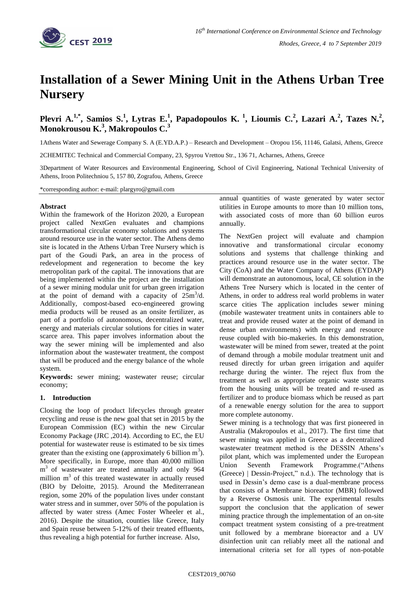

# **Installation of a Sewer Mining Unit in the Athens Urban Tree Nursery**

# **Plevri A.1,\* , Samios S.<sup>1</sup> , Lytras E.<sup>1</sup> , Papadopoulos K. <sup>1</sup> , Lioumis C.<sup>2</sup> , Lazari A.<sup>2</sup> , Tazes N.<sup>2</sup> , Monokrousou K.<sup>3</sup> , Makropoulos C.<sup>3</sup>**

1Athens Water and Sewerage Company S. A (E.YD.A.P.) – Research and Development – Oropou 156, 11146, Galatsi, Athens, Greece

2CHEMITEC Technical and Commercial Company, 23, Spyrou Vrettou Str., 136 71, Acharnes, Athens, Greece

3Department of Water Resources and Environmental Engineering, School of Civil Engineering, National Technical University of Athens, Iroon Politechniou 5, 157 80, Zografou, Athens, Greece

\*corresponding author: e-mail: plargyro@gmail.com

#### **Abstract**

Within the framework of the Horizon 2020, a European project called NextGen evaluates and champions transformational circular economy solutions and systems around resource use in the water sector. The Athens demo site is located in the Athens Urban Tree Nursery which is part of the Goudi Park, an area in the process of redevelopment and regeneration to become the key metropolitan park of the capital. The innovations that are being implemented within the project are the installation of a sewer mining modular unit for urban green irrigation at the point of demand with a capacity of  $25m^3/d$ . Additionally, compost-based eco-engineered growing media products will be reused as an onsite fertilizer, as part of a portfolio of autonomous, decentralized water, energy and materials circular solutions for cities in water scarce area. This paper involves information about the way the sewer mining will be implemented and also information about the wastewater treatment, the compost that will be produced and the energy balance of the whole system.

**Keywords:** sewer mining; wastewater reuse; circular economy;

# **1. Introduction**

Closing the loop of product lifecycles through greater recycling and reuse is the new goal that set in 2015 by the European Commission (EC) within the new Circular Economy Package (JRC ,2014). According to EC, the EU potential for wastewater reuse is estimated to be six times greater than the existing one (approximately 6 billion  $m<sup>3</sup>$ ). More specifically, in Europe, more than 40,000 million m<sup>3</sup> of wastewater are treated annually and only 964 million  $m<sup>3</sup>$  of this treated wastewater in actually reused (BIO by Deloitte, 2015). Around the Mediterranean region, some 20% of the population lives under constant water stress and in summer, over 50% of the population is affected by water stress (Amec Foster Wheeler et al., 2016). Despite the situation, counties like Greece, Italy and Spain reuse between 5-12% of their treated effluents, thus revealing a high potential for further increase. Also,

annual quantities of waste generated by water sector utilities in Europe amounts to more than 10 million tons, with associated costs of more than 60 billion euros annually.

The NextGen project will evaluate and champion innovative and transformational circular economy solutions and systems that challenge thinking and practices around resource use in the water sector. The City (CoA) and the Water Company of Athens (EYDAP) will demonstrate an autonomous, local, CE solution in the Athens Tree Nursery which is located in the center of Athens, in order to address real world problems in water scarce cities The application includes sewer mining (mobile wastewater treatment units in containers able to treat and provide reused water at the point of demand in dense urban environments) with energy and resource reuse coupled with bio-makeries. In this demonstration, wastewater will be mined from sewer, treated at the point of demand through a mobile modular treatment unit and reused directly for urban green irrigation and aquifer recharge during the winter. The reject flux from the treatment as well as appropriate organic waste streams from the housing units will be treated and re-used as fertilizer and to produce biomass which be reused as part of a renewable energy solution for the area to support more complete autonomy.

Sewer mining is a technology that was first pioneered in Australia (Makropoulos et al., 2017). The first time that sewer mining was applied in Greece as a decentralized wastewater treatment method is the DESSIN Athens's pilot plant, which was implemented under the European Union Seventh Framework Programme.("Athens (Greece) | Dessin-Project," n.d.). The technology that is used in Dessin's demo case is a dual-membrane process that consists of a Membrane bioreactor (MBR) followed by a Reverse Osmosis unit. The experimental results support the conclusion that the application of sewer mining practice through the implementation of an on-site compact treatment system consisting of a pre-treatment unit followed by a membrane bioreactor and a UV disinfection unit can reliably meet all the national and international criteria set for all types of non-potable